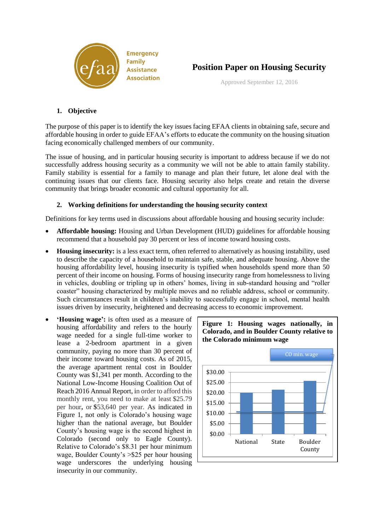



Approved September 12, 2016

## **1. Objective**

The purpose of this paper is to identify the key issues facing EFAA clients in obtaining safe, secure and affordable housing in order to guide EFAA's efforts to educate the community on the housing situation facing economically challenged members of our community.

The issue of housing, and in particular housing security is important to address because if we do not successfully address housing security as a community we will not be able to attain family stability. Family stability is essential for a family to manage and plan their future, let alone deal with the continuing issues that our clients face. Housing security also helps create and retain the diverse community that brings broader economic and cultural opportunity for all.

## **2. Working definitions for understanding the housing security context**

Definitions for key terms used in discussions about affordable housing and housing security include:

- **Affordable housing:** Housing and Urban Development (HUD) guidelines for affordable housing recommend that a household pay 30 percent or less of income toward housing costs.
- **Housing insecurity:** is a less exact term, often referred to alternatively as housing instability, used to describe the capacity of a household to maintain safe, stable, and adequate housing. Above the housing affordability level, housing insecurity is typified when households spend more than 50 percent of their income on housing. Forms of housing insecurity range from homelessness to living in vehicles, doubling or tripling up in others' homes, living in sub-standard housing and "roller coaster" housing characterized by multiple moves and no reliable address, school or community. Such circumstances result in children's inability to successfully engage in school, mental health issues driven by insecurity, heightened and decreasing access to economic improvement.
- **'Housing wage':** is often used as a measure of housing affordability and refers to the hourly wage needed for a single full-time worker to lease a 2-bedroom apartment in a given community, paying no more than 30 percent of their income toward housing costs. As of 2015, the average apartment rental cost in Boulder County was \$1,341 per month. According to the National Low-Income Housing Coalition Out of Reach 2016 Annual Report, in order to afford this monthly rent, you need to make at least \$25.79 per hour**,** or **\$**53,640 per year. As indicated in Figure 1, not only is Colorado's housing wage higher than the national average, but Boulder County's housing wage is the second highest in Colorado (second only to Eagle County). Relative to Colorado's \$8.31 per hour minimum wage, Boulder County's >\$25 per hour housing wage underscores the underlying housing insecurity in our community.



**Figure 1: Housing wages nationally, in Colorado, and in Boulder County relative to**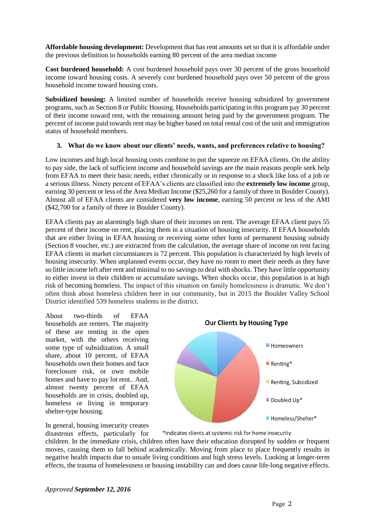**Affordable housing development:** Development that has rent amounts set so that it is affordable under the previous definition to households earning 80 percent of the area median income

**Cost burdened household:** A cost burdened household pays over 30 percent of the gross household income toward housing costs. A severely cost burdened household pays over 50 percent of the gross household income toward housing costs.

**Subsidized housing:** A limited number of households receive housing subsidized by government programs, such as Section 8 or Public Housing. Households participating in this program pay 30 percent of their income toward rent, with the remaining amount being paid by the government program. The percent of income paid towards rent may be higher based on total rental cost of the unit and immigration status of household members.

## **3. What do we know about our clients' needs, wants, and preferences relative to housing?**

Low incomes and high local housing costs combine to put the squeeze on EFAA clients. On the ability to pay side, the lack of sufficient income and household savings are the main reasons people seek help from EFAA to meet their basic needs, either chronically or in response to a shock like loss of a job or a serious illness. Ninety percent of EFAA's clients are classified into the **extremely low income** group, earning 30 percent or less of the Area Median Income (\$25,260 for a family of three in Boulder County). Almost all of EFAA clients are considered **very low income**, earning 50 percent or less of the AMI (\$42,700 for a family of three in Boulder County).

EFAA clients pay an alarmingly high share of their incomes on rent. The average EFAA client pays 55 percent of their income on rent, placing them in a situation of housing insecurity. If EFAA households that are either living in EFAA housing or receiving some other form of permanent housing subsidy (Section 8 voucher, etc.) are extracted from the calculation, the average share of income on rent facing EFAA clients in market circumstances is 72 percent. This population is characterized by high levels of housing insecurity. When unplanned events occur, they have no room to meet their needs as they have so little income left after rent and minimal to no savings to deal with shocks. They have little opportunity to either invest in their children or accumulate savings. When shocks occur, this population is at high risk of becoming homeless. The impact of this situation on family homelessness is dramatic. We don't often think about homeless children here in our community, but in 2015 the Boulder Valley School District identified 539 homeless students in the district.

About two-thirds of EFAA households are renters. The majority of these are renting in the open market, with the others receiving some type of subsidization. A small share, about 10 percent, of EFAA households own their homes and face foreclosure risk, or own mobile homes and have to pay lot rent.. And, almost twenty percent of EFAA households are in crisis, doubled up, homeless or living in temporary shelter-type housing.



In general, housing insecurity creates

\*Indicates clients at systemic risk for home insecurity

disastrous effects, particularly for children. In the immediate crisis, children often have their education disrupted by sudden or frequent moves, causing them to fall behind academically. Moving from place to place frequently results in negative health impacts due to unsafe living conditions and high stress levels. Looking at longer-term effects, the trauma of homelessness or housing instability can and does cause life-long negative effects.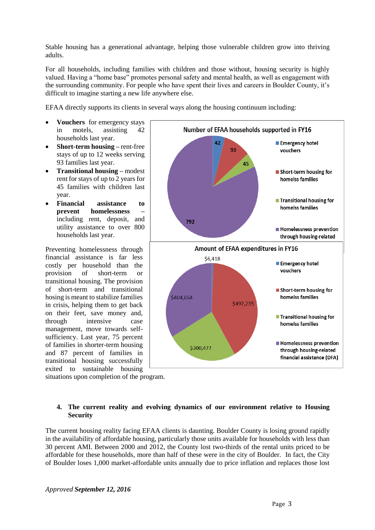Stable housing has a generational advantage, helping those vulnerable children grow into thriving adults.

For all households, including families with children and those without, housing security is highly valued. Having a "home base" promotes personal safety and mental health, as well as engagement with the surrounding community. For people who have spent their lives and careers in Boulder County, it's difficult to imagine starting a new life anywhere else.

EFAA directly supports its clients in several ways along the housing continuum including:

- **Vouchers** for emergency stays in motels, assisting 42 households last year.
- **Short-term housing –** rent-free stays of up to 12 weeks serving 93 families last year.
- **Transitional housing –** modest rent for stays of up to 2 years for 45 families with children last year.
- **Financial assistance to prevent homelessness –** including rent, deposit, and utility assistance to over 800 households last year.

Preventing homelessness through financial assistance is far less costly per household than the provision of short-term or transitional housing. The provision of short-term and transitional hosing is meant to stabilize families in crisis, helping them to get back on their feet, save money and, through intensive case management, move towards selfsufficiency. Last year, 75 percent of families in shorter-term housing and 87 percent of families in transitional housing successfully exited to sustainable housing



situations upon completion of the program.

## **4. The current reality and evolving dynamics of our environment relative to Housing Security**

The current housing reality facing EFAA clients is daunting. Boulder County is losing ground rapidly in the availability of affordable housing, particularly those units available for households with less than 30 percent AMI. Between 2000 and 2012, the County lost two-thirds of the rental units priced to be affordable for these households, more than half of these were in the city of Boulder. In fact, the City of Boulder loses 1,000 market-affordable units annually due to price inflation and replaces those lost